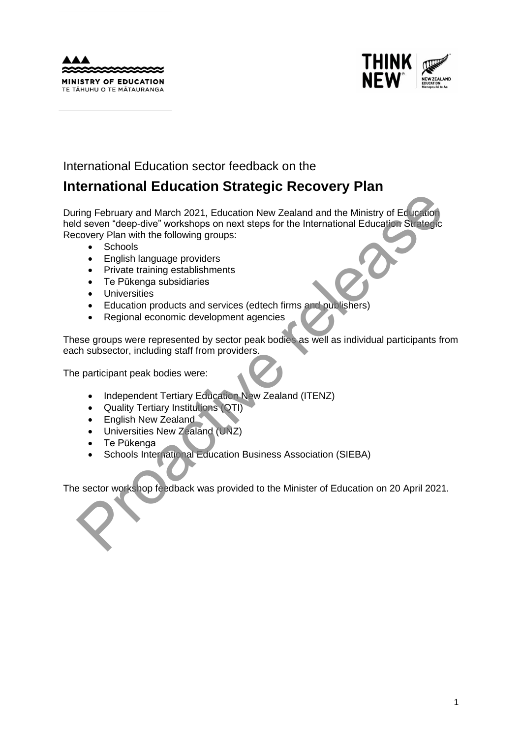



# International Education sector feedback on the

# **International Education Strategic Recovery Plan**

During February and March 2021, Education New Zealand and the Ministry of Education held seven "deep-dive" workshops on next steps for the International Education Strategic Recovery Plan with the following groups: The Provider of March 2021, Education New Zealand and the Ministry of Education<br>
diseven "deep-dive" workshops on next steps for the International Education Studies<br>
covery Plan with the following groups:<br>
Chronology Telan

- Schools
- English language providers
- Private training establishments
- Te Pūkenga subsidiaries
- Universities
- Education products and services (edtech firms and publishers)
- Regional economic development agencies

These groups were represented by sector peak bodies as well as individual participants from each subsector, including staff from providers.

The participant peak bodies were:

- Independent Tertiary Education New Zealand (ITENZ)
- Quality Tertiary Institutions (QTI)
- English New Zealand
- Universities New Zealand (UNZ)
- Te Pūkenga
- Schools International Education Business Association (SIEBA)

The sector workshop feedback was provided to the Minister of Education on 20 April 2021.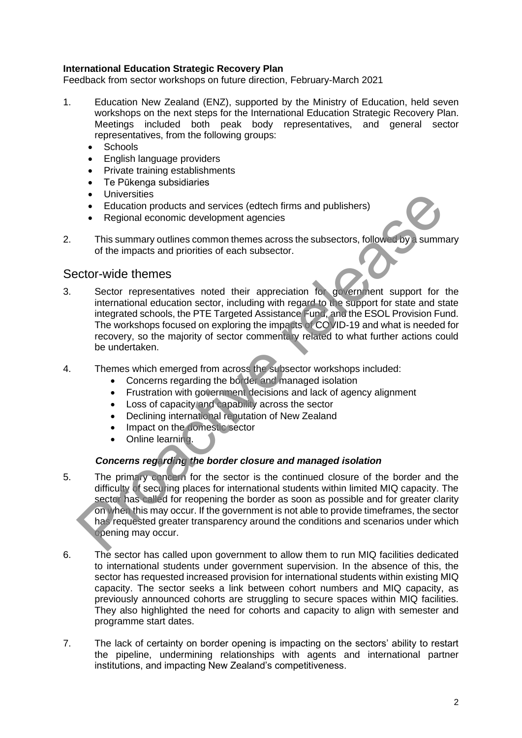#### **International Education Strategic Recovery Plan**

Feedback from sector workshops on future direction, February-March 2021

- 1. Education New Zealand (ENZ), supported by the Ministry of Education, held seven workshops on the next steps for the International Education Strategic Recovery Plan. Meetings included both peak body representatives, and general sector representatives, from the following groups:
	- **Schools**
	- English language providers
	- Private training establishments
	- Te Pūkenga subsidiaries
	- Universities
	- Education products and services (edtech firms and publishers)
	- Regional economic development agencies
- 2. This summary outlines common themes across the subsectors, followed by a summary of the impacts and priorities of each subsector.

## Sector-wide themes

- 3. Sector representatives noted their appreciation for government support for the international education sector, including with regard to the support for state and state integrated schools, the PTE Targeted Assistance Fund, and the ESOL Provision Fund. The workshops focused on exploring the impacts of COVID-19 and what is needed for recovery, so the majority of sector commentary related to what further actions could be undertaken.
- 4. Themes which emerged from across the subsector workshops included:
	- Concerns regarding the border and managed isolation
	- Frustration with government decisions and lack of agency alignment
	- Loss of capacity and capability across the sector
	- Declining international reputation of New Zealand
	- Impact on the domestic sector
	- Online learning.

## *Concerns regarding the border closure and managed isolation*

- 5. The primary concern for the sector is the continued closure of the border and the difficulty of securing places for international students within limited MIQ capacity. The sector has called for reopening the border as soon as possible and for greater clarity on when this may occur. If the government is not able to provide timeframes, the sector has requested greater transparency around the conditions and scenarios under which opening may occur. • Universities and services (edeten firms and publishers)<br>• Education products and services (edeten firms and publishers)<br>• Regional economic development agencies<br>This summary outlines common themes across the subsectors
- 6. The sector has called upon government to allow them to run MIQ facilities dedicated to international students under government supervision. In the absence of this, the sector has requested increased provision for international students within existing MIQ capacity. The sector seeks a link between cohort numbers and MIQ capacity, as previously announced cohorts are struggling to secure spaces within MIQ facilities. They also highlighted the need for cohorts and capacity to align with semester and programme start dates.
- 7. The lack of certainty on border opening is impacting on the sectors' ability to restart the pipeline, undermining relationships with agents and international partner institutions, and impacting New Zealand's competitiveness.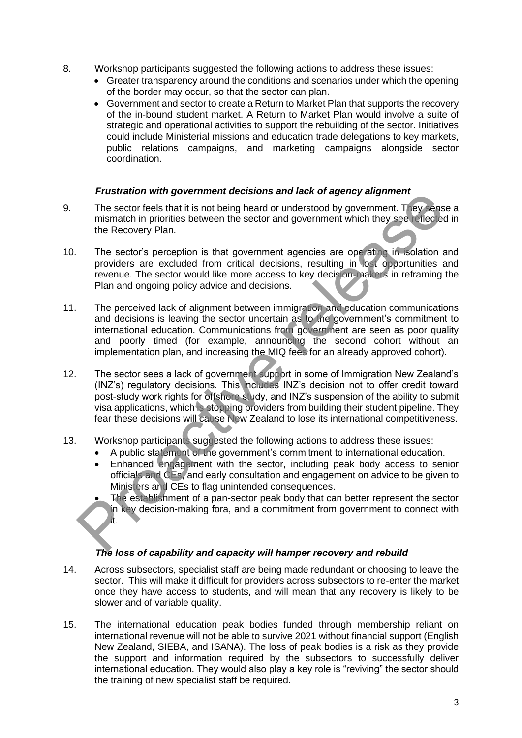- 8. Workshop participants suggested the following actions to address these issues:
	- Greater transparency around the conditions and scenarios under which the opening of the border may occur, so that the sector can plan.
	- Government and sector to create a Return to Market Plan that supports the recovery of the in-bound student market. A Return to Market Plan would involve a suite of strategic and operational activities to support the rebuilding of the sector. Initiatives could include Ministerial missions and education trade delegations to key markets, public relations campaigns, and marketing campaigns alongside sector coordination.

## *Frustration with government decisions and lack of agency alignment*

- 9. The sector feels that it is not being heard or understood by government. They sense a mismatch in priorities between the sector and government which they see reflected in the Recovery Plan.
- 10. The sector's perception is that government agencies are operating in isolation and providers are excluded from critical decisions, resulting in lost opportunities and revenue. The sector would like more access to key decision-makers in reframing the Plan and ongoing policy advice and decisions.
- 11. The perceived lack of alignment between immigration and education communications and decisions is leaving the sector uncertain as to the government's commitment to international education. Communications from government are seen as poor quality and poorly timed (for example, announcing the second cohort without an implementation plan, and increasing the MIQ fees for an already approved cohort).
- 12. The sector sees a lack of government support in some of Immigration New Zealand's (INZ's) regulatory decisions. This includes INZ's decision not to offer credit toward post-study work rights for offshore study, and INZ's suspension of the ability to submit visa applications, which is stopping providers from building their student pipeline. They fear these decisions will cause New Zealand to lose its international competitiveness. The sector felsi that is the best of the following the sector of the sector of the sector of the sector of the sector and government which they see values.<br>The sector feels that it is not being head or understood by govern
- 13. Workshop participants suggested the following actions to address these issues:
	- A public statement of the government's commitment to international education.
	- Enhanced engagement with the sector, including peak body access to senior officials and CEs, and early consultation and engagement on advice to be given to Ministers and CEs to flag unintended consequences.
	- The establishment of a pan-sector peak body that can better represent the sector in key decision-making fora, and a commitment from government to connect with it.

## *The loss of capability and capacity will hamper recovery and rebuild*

- 14. Across subsectors, specialist staff are being made redundant or choosing to leave the sector. This will make it difficult for providers across subsectors to re-enter the market once they have access to students, and will mean that any recovery is likely to be slower and of variable quality.
- 15. The international education peak bodies funded through membership reliant on international revenue will not be able to survive 2021 without financial support (English New Zealand, SIEBA, and ISANA). The loss of peak bodies is a risk as they provide the support and information required by the subsectors to successfully deliver international education. They would also play a key role is "reviving" the sector should the training of new specialist staff be required.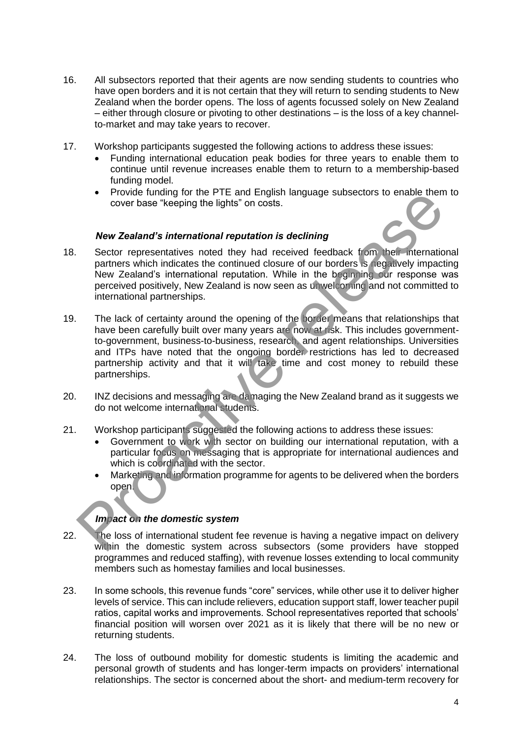- 16. All subsectors reported that their agents are now sending students to countries who have open borders and it is not certain that they will return to sending students to New Zealand when the border opens. The loss of agents focussed solely on New Zealand – either through closure or pivoting to other destinations – is the loss of a key channelto-market and may take years to recover.
- 17. Workshop participants suggested the following actions to address these issues:
	- Funding international education peak bodies for three years to enable them to continue until revenue increases enable them to return to a membership-based funding model.
	- Provide funding for the PTE and English language subsectors to enable them to cover base "keeping the lights" on costs.

#### *New Zealand's international reputation is declining*

- 18. Sector representatives noted they had received feedback from their international partners which indicates the continued closure of our borders is negatively impacting New Zealand's international reputation. While in the beginning our response was perceived positively, New Zealand is now seen as unwelcoming and not committed to international partnerships.
- 19. The lack of certainty around the opening of the border means that relationships that have been carefully built over many years are now at risk. This includes governmentto-government, business-to-business, research, and agent relationships. Universities and ITPs have noted that the ongoing border restrictions has led to decreased partnership activity and that it will take time and cost money to rebuild these partnerships. • Provide trunching for the P i e and Engins in anguage subsectors to enable them<br>
Provide transformational reputation is declining<br>
Sector representatives noted they had received feedback 1 om Meli internation<br>
partners w
- 20. INZ decisions and messaging are damaging the New Zealand brand as it suggests we do not welcome international students.
- 21. Workshop participants suggested the following actions to address these issues:
	- Government to work with sector on building our international reputation, with a particular focus on messaging that is appropriate for international audiences and which is coordinated with the sector.
	- Marketing and information programme for agents to be delivered when the borders open.

#### *Impact on the domestic system*

- 22. The loss of international student fee revenue is having a negative impact on delivery within the domestic system across subsectors (some providers have stopped programmes and reduced staffing), with revenue losses extending to local community members such as homestay families and local businesses.
- 23. In some schools, this revenue funds "core" services, while other use it to deliver higher levels of service. This can include relievers, education support staff, lower teacher pupil ratios, capital works and improvements. School representatives reported that schools' financial position will worsen over 2021 as it is likely that there will be no new or returning students.
- 24. The loss of outbound mobility for domestic students is limiting the academic and personal growth of students and has longer-term impacts on providers' international relationships. The sector is concerned about the short- and medium-term recovery for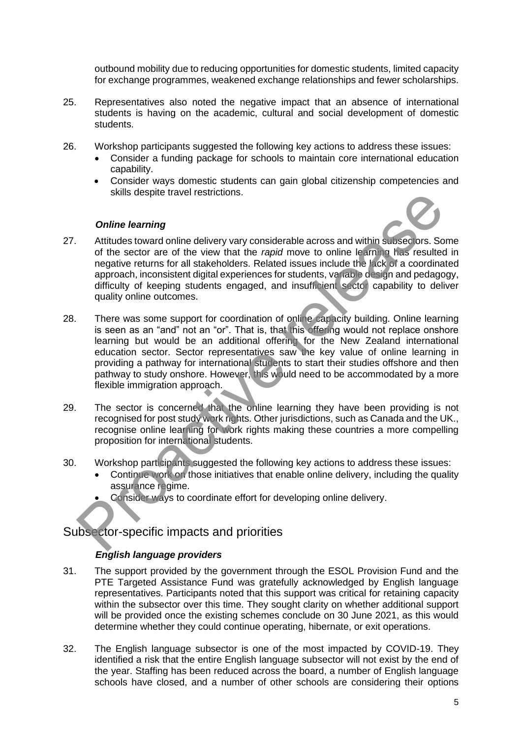outbound mobility due to reducing opportunities for domestic students, limited capacity for exchange programmes, weakened exchange relationships and fewer scholarships.

- 25. Representatives also noted the negative impact that an absence of international students is having on the academic, cultural and social development of domestic students.
- 26. Workshop participants suggested the following key actions to address these issues:
	- Consider a funding package for schools to maintain core international education capability.
	- Consider ways domestic students can gain global citizenship competencies and skills despite travel restrictions.

#### *Online learning*

- 27. Attitudes toward online delivery vary considerable across and within subsectors. Some of the sector are of the view that the *rapid* move to online learning has resulted in negative returns for all stakeholders. Related issues include the lack of a coordinated approach, inconsistent digital experiences for students, variable design and pedagogy, difficulty of keeping students engaged, and insufficient sector capability to deliver quality online outcomes.
- 28. There was some support for coordination of online capacity building. Online learning is seen as an "and" not an "or". That is, that this offering would not replace onshore learning but would be an additional offering for the New Zealand international education sector. Sector representatives saw the key value of online learning in providing a pathway for international students to start their studies offshore and then pathway to study onshore. However, this would need to be accommodated by a more flexible immigration approach. SKING despite travel restrictions.<br> **Online learning**<br>
Attitudes toward online delivery vary considerable across and within subsectors. So<br>
the sector are of the view that the *rapid* move to online learning that a receive
- 29. The sector is concerned that the online learning they have been providing is not recognised for post study work rights. Other jurisdictions, such as Canada and the UK., recognise online learning for work rights making these countries a more compelling proposition for international students.
- 30. Workshop participants suggested the following key actions to address these issues:
	- Continue work on those initiatives that enable online delivery, including the quality assurance regime.
	- Consider ways to coordinate effort for developing online delivery.

## Subsector-specific impacts and priorities

## *English language providers*

- 31. The support provided by the government through the ESOL Provision Fund and the PTE Targeted Assistance Fund was gratefully acknowledged by English language representatives. Participants noted that this support was critical for retaining capacity within the subsector over this time. They sought clarity on whether additional support will be provided once the existing schemes conclude on 30 June 2021, as this would determine whether they could continue operating, hibernate, or exit operations.
- 32. The English language subsector is one of the most impacted by COVID-19. They identified a risk that the entire English language subsector will not exist by the end of the year. Staffing has been reduced across the board, a number of English language schools have closed, and a number of other schools are considering their options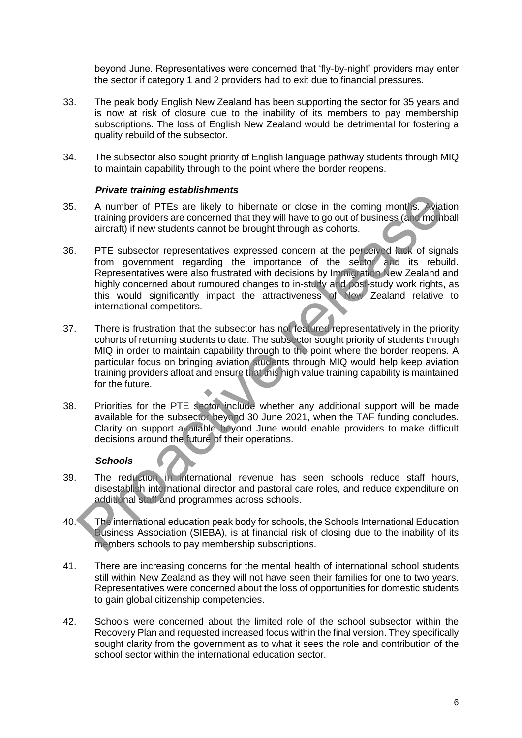beyond June. Representatives were concerned that 'fly-by-night' providers may enter the sector if category 1 and 2 providers had to exit due to financial pressures.

- 33. The peak body English New Zealand has been supporting the sector for 35 years and is now at risk of closure due to the inability of its members to pay membership subscriptions. The loss of English New Zealand would be detrimental for fostering a quality rebuild of the subsector.
- 34. The subsector also sought priority of English language pathway students through MIQ to maintain capability through to the point where the border reopens.

#### *Private training establishments*

- 35. A number of PTEs are likely to hibernate or close in the coming months. Aviation training providers are concerned that they will have to go out of business (and mothball aircraft) if new students cannot be brought through as cohorts.
- 36. PTE subsector representatives expressed concern at the perceived lack of signals from government regarding the importance of the sector and its rebuild. Representatives were also frustrated with decisions by Immigration New Zealand and highly concerned about rumoured changes to in-study and post-study work rights, as this would significantly impact the attractiveness of New Zealand relative to international competitors.
- 37. There is frustration that the subsector has not featured representatively in the priority cohorts of returning students to date. The subsector sought priority of students through MIQ in order to maintain capability through to the point where the border reopens. A particular focus on bringing aviation students through MIQ would help keep aviation training providers afloat and ensure that this high value training capability is maintained for the future. The trace warming solutions and the subsection of the schools and relations and the solution of the search of the search of significantly if new students cannot be brought through as cohors.<br>
PTE subsector representatives
- 38. Priorities for the PTE sector include whether any additional support will be made available for the subsector beyond 30 June 2021, when the TAF funding concludes. Clarity on support available beyond June would enable providers to make difficult decisions around the future of their operations.

#### *Schools*

- 39. The reduction in international revenue has seen schools reduce staff hours, disestablish international director and pastoral care roles, and reduce expenditure on additional staff and programmes across schools.
- 40. The international education peak body for schools, the Schools International Education Business Association (SIEBA), is at financial risk of closing due to the inability of its members schools to pay membership subscriptions.
- 41. There are increasing concerns for the mental health of international school students still within New Zealand as they will not have seen their families for one to two years. Representatives were concerned about the loss of opportunities for domestic students to gain global citizenship competencies.
- 42. Schools were concerned about the limited role of the school subsector within the Recovery Plan and requested increased focus within the final version. They specifically sought clarity from the government as to what it sees the role and contribution of the school sector within the international education sector.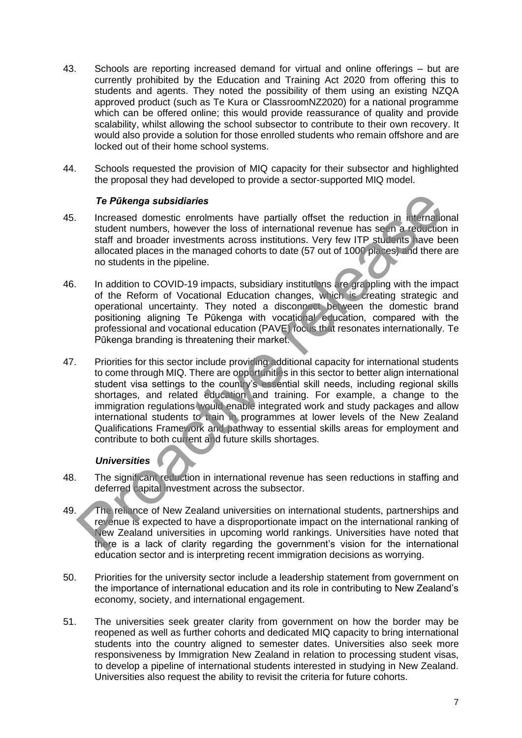- 43. Schools are reporting increased demand for virtual and online offerings but are currently prohibited by the Education and Training Act 2020 from offering this to students and agents. They noted the possibility of them using an existing NZQA approved product (such as Te Kura or ClassroomNZ2020) for a national programme which can be offered online; this would provide reassurance of quality and provide scalability, whilst allowing the school subsector to contribute to their own recovery. It would also provide a solution for those enrolled students who remain offshore and are locked out of their home school systems.
- 44. Schools requested the provision of MIQ capacity for their subsector and highlighted the proposal they had developed to provide a sector-supported MIQ model.

#### *Te Pūkenga subsidiaries*

- 45. Increased domestic enrolments have partially offset the reduction in international student numbers, however the loss of international revenue has seen a reduction in staff and broader investments across institutions. Very few ITP students have been allocated places in the managed cohorts to date (57 out of 1000 places) and there are no students in the pipeline.
- 46. In addition to COVID-19 impacts, subsidiary institutions are grappling with the impact of the Reform of Vocational Education changes, which is creating strategic and operational uncertainty. They noted a disconnect between the domestic brand positioning aligning Te Pūkenga with vocational education, compared with the professional and vocational education (PAVE) focus that resonates internationally. Te Pūkenga branding is threatening their market.
- 47. Priorities for this sector include providing additional capacity for international students to come through MIQ. There are opportunities in this sector to better align international student visa settings to the country's essential skill needs, including regional skills shortages, and related education and training. For example, a change to the immigration regulations would enable integrated work and study packages and allow international students to train in programmes at lower levels of the New Zealand Qualifications Framework and pathway to essential skills areas for employment and contribute to both current and future skills shortages. The Pükeraga subsidiaries<br>
Increased domestic enrolments have partially offset the reduction in tr<sup>1</sup>-tina b<br>
student numbers, however the loss of international revenue has seen a recursion<br>
staff and broader investments a

#### *Universities*

- 48. The significant reduction in international revenue has seen reductions in staffing and deferred capital investment across the subsector.
- 49. The reliance of New Zealand universities on international students, partnerships and revenue is expected to have a disproportionate impact on the international ranking of New Zealand universities in upcoming world rankings. Universities have noted that there is a lack of clarity regarding the government's vision for the international education sector and is interpreting recent immigration decisions as worrying.
- 50. Priorities for the university sector include a leadership statement from government on the importance of international education and its role in contributing to New Zealand's economy, society, and international engagement.
- 51. The universities seek greater clarity from government on how the border may be reopened as well as further cohorts and dedicated MIQ capacity to bring international students into the country aligned to semester dates. Universities also seek more responsiveness by Immigration New Zealand in relation to processing student visas, to develop a pipeline of international students interested in studying in New Zealand. Universities also request the ability to revisit the criteria for future cohorts.